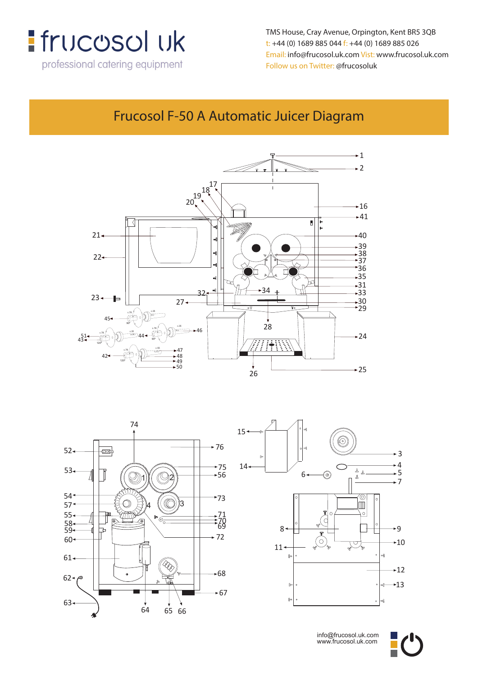

**TMS** TMS HOUSE, CREW AVENUE, CONTROL CONTROL CONTROL CONTROL CONTROL CONTROL CONTROL CONTROL CONTROL CONTROL CONTROL CONTROL CONTROL CONTROL CONTROL CONTROL CONTROL CONTROL CONTROL CONTROL CONTROL CONTROL CONTROL CONTROL **t: +44 (0) 1689 885 044 f: +44 (0) 1689 885 026 Follow us on Twitter: @frucosoluk** Follow us on Twitter: @frucosoluk **TMS House, Crey Avenue, Orpington, Kent, BR5 3QB** TMS House, Cray Avenue, Orpington, Kent BR5 3QB **t: +44 (0) 1689 885 044 f: +44 (0) 1689 885 026** t: +44 (0) 1689 885 044 f: +44 (0) 1689 885 026 **Email: info@frucosol.uk.com Vist: www.frucosol.uk.com** Email: info@frucosol.uk.com Vist: www.frucosol.uk.com

#### **Frucosol F-50A Automatic Juicer Diagram** Frucosol F-50 A Automatic Juicer Diagram







info@frucosol.uk.com www.frucosol.uk.com

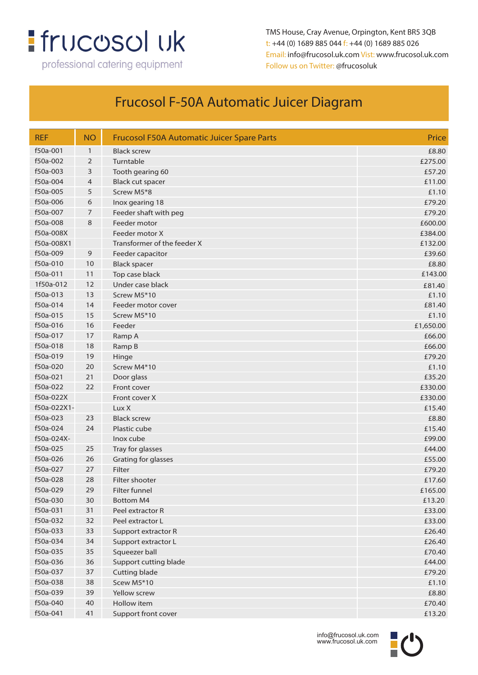# : frucosol uk

professional catering equipment

TMS House, Cray Avenue, Orpington, Kent BR5 3QB t: +44 (0) 1689 885 044 f: +44 (0) 1689 885 026 Email: info@frucosol.uk.com Vist: www.frucosol.uk.com Follow us on Twitter: @frucosoluk

### Frucosol F-50A Automatic Juicer Diagram

| <b>REF</b>  | <b>NO</b>    | <b>Frucosol F50A Automatic Juicer Spare Parts</b> | Price     |
|-------------|--------------|---------------------------------------------------|-----------|
| f50a-001    | $\mathbf{1}$ | <b>Black screw</b>                                | £8.80     |
| f50a-002    | 2            | Turntable                                         | £275.00   |
| f50a-003    | 3            | Tooth gearing 60                                  | £57.20    |
| f50a-004    | 4            | <b>Black cut spacer</b>                           | £11.00    |
| f50a-005    | 5            | Screw M5*8                                        | £1.10     |
| f50a-006    | 6            | Inox gearing 18                                   | £79.20    |
| f50a-007    | 7            | Feeder shaft with peg                             | £79.20    |
| f50a-008    | 8            | Feeder motor                                      | £600.00   |
| f50a-008X   |              | Feeder motor X                                    | £384.00   |
| f50a-008X1  |              | Transformer of the feeder X                       | £132.00   |
| f50a-009    | 9            | Feeder capacitor                                  | £39.60    |
| f50a-010    | 10           | <b>Black spacer</b>                               | £8.80     |
| f50a-011    | 11           | Top case black                                    | £143.00   |
| 1f50a-012   | 12           | Under case black                                  | £81.40    |
| f50a-013    | 13           | Screw M5*10                                       | £1.10     |
| f50a-014    | 14           | Feeder motor cover                                | £81.40    |
| f50a-015    | 15           | Screw M5*10                                       | £1.10     |
| f50a-016    | 16           | Feeder                                            | £1,650.00 |
| f50a-017    | 17           | Ramp A                                            | £66.00    |
| f50a-018    | 18           | Ramp B                                            | £66.00    |
| f50a-019    | 19           | Hinge                                             | £79.20    |
| f50a-020    | 20           | Screw M4*10                                       | £1.10     |
| f50a-021    | 21           | Door glass                                        | £35.20    |
| f50a-022    | 22           | Front cover                                       | £330.00   |
| f50a-022X   |              | Front cover X                                     | £330.00   |
| f50a-022X1- |              | Lux X                                             | £15.40    |
| f50a-023    | 23           | <b>Black screw</b>                                | £8.80     |
| f50a-024    | 24           | Plastic cube                                      | £15.40    |
| f50a-024X-  |              | Inox cube                                         | £99.00    |
| f50a-025    | 25           | Tray for glasses                                  | £44.00    |
| f50a-026    | 26           | Grating for glasses                               | £55.00    |
| f50a-027    | 27           | Filter                                            | £79.20    |
| f50a-028    | 28           | Filter shooter                                    | £17.60    |
| f50a-029    | 29           | Filter funnel                                     | £165.00   |
| f50a-030    | 30           | <b>Bottom M4</b>                                  | £13.20    |
| f50a-031    | 31           | Peel extractor R                                  | £33.00    |
| f50a-032    | 32           | Peel extractor L                                  | £33.00    |
| f50a-033    | 33           | Support extractor R                               | £26.40    |
| f50a-034    | 34           | Support extractor L                               | £26.40    |
| f50a-035    | 35           | Squeezer ball                                     | £70.40    |
| f50a-036    | 36           | Support cutting blade                             | £44.00    |
| f50a-037    | 37           | Cutting blade                                     | £79.20    |
| f50a-038    | 38           | Scew M5*10                                        | £1.10     |
| f50a-039    | 39           | Yellow screw                                      | £8.80     |
| f50a-040    | 40           | Hollow item                                       | £70.40    |
| f50a-041    | 41           | Support front cover                               | £13.20    |

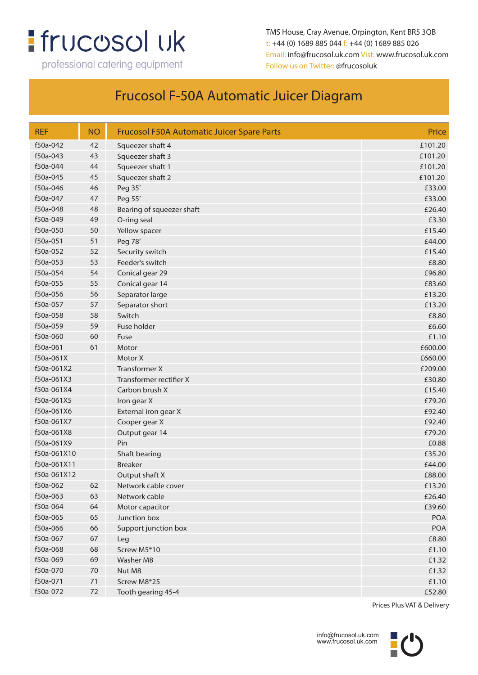## : frucosol uk

professional catering equipment

TMS House, Cray Avenue, Orpington, Kent BR5 3QB t: +44 (0) 1689 885 044 f: +44 (0) 1689 885 026 Email: info@frucosol.uk.com Vist: www.frucosol.uk.com Follow us on Twitter: @frucosoluk

### Frucosol F-50A Automatic Juicer Diagram

| <b>REF</b>  | <b>NO</b> | <b>Frucosol F50A Automatic Juicer Spare Parts</b> | Price      |
|-------------|-----------|---------------------------------------------------|------------|
| f50a-042    | 42        | Squeezer shaft 4                                  | £101.20    |
| f50a-043    | 43        | Squeezer shaft 3                                  | £101.20    |
| f50a-044    | 44        | Squeezer shaft 1                                  | £101.20    |
| f50a-045    | 45        | Squeezer shaft 2                                  | £101.20    |
| f50a-046    | 46        | Peg 35'                                           | £33.00     |
| f50a-047    | 47        | Peg 55'                                           | £33.00     |
| f50a-048    | 48        | Bearing of squeezer shaft                         | £26.40     |
| f50a-049    | 49        | O-ring seal                                       | £3.30      |
| f50a-050    | 50        | Yellow spacer                                     | £15.40     |
| f50a-051    | 51        | Peg 78'                                           | £44.00     |
| f50a-052    | 52        | Security switch                                   | £15.40     |
| f50a-053    | 53        | Feeder's switch                                   | £8.80      |
| f50a-054    | 54        | Conical gear 29                                   | £96.80     |
| f50a-055    | 55        | Conical gear 14                                   | £83.60     |
| f50a-056    | 56        | Separator large                                   | £13.20     |
| f50a-057    | 57        | Separator short                                   | £13.20     |
| f50a-058    | 58        | Switch                                            | £8.80      |
| f50a-059    | 59        | Fuse holder                                       | £6.60      |
| f50a-060    | 60        | Fuse                                              | £1.10      |
| f50a-061    | 61        | Motor                                             | £600.00    |
| f50a-061X   |           | Motor X                                           | £660.00    |
| f50a-061X2  |           | <b>Transformer X</b>                              | £209.00    |
| f50a-061X3  |           | Transformer rectifier X                           | £30.80     |
| f50a-061X4  |           | Carbon brush X                                    | £15.40     |
| f50a-061X5  |           | Iron gear X                                       | £79.20     |
| f50a-061X6  |           | External iron gear X                              | £92.40     |
| f50a-061X7  |           | Cooper gear X                                     | £92.40     |
| f50a-061X8  |           | Output gear 14                                    | £79.20     |
| f50a-061X9  |           | Pin                                               | £0.88      |
| f50a-061X10 |           | Shaft bearing                                     | £35.20     |
| f50a-061X11 |           | <b>Breaker</b>                                    | £44.00     |
| f50a-061X12 |           | Output shaft X                                    | £88.00     |
| f50a-062    | 62        | Network cable cover                               | £13.20     |
| f50a-063    | 63        | Network cable                                     | £26.40     |
| f50a-064    | 64        | Motor capacitor                                   | £39.60     |
| f50a-065    | 65        | Junction box                                      | <b>POA</b> |
| f50a-066    | 66        | Support junction box                              | POA        |
| f50a-067    | 67        | Leg                                               | £8.80      |
| f50a-068    | 68        | Screw M5*10                                       | £1.10      |
| f50a-069    | 69        | Washer M8                                         | £1.32      |
| f50a-070    | $70\,$    | Nut M8                                            | £1.32      |
| f50a-071    | $71$      | Screw M8*25                                       | £1.10      |
| f50a-072    | 72        | Tooth gearing 45-4                                | £52.80     |

Prices Plus VAT & Delivery